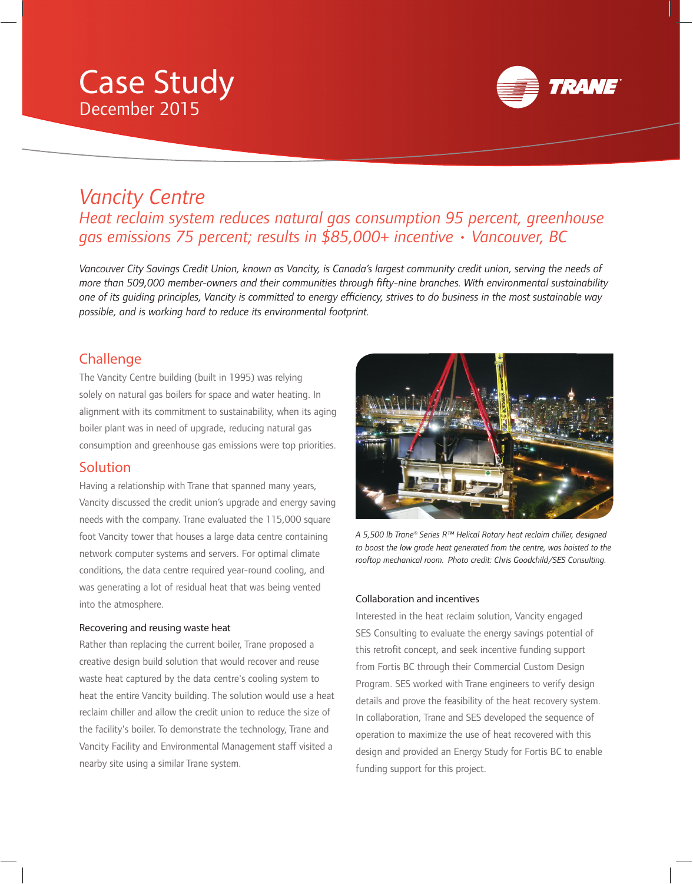# Case Study December 2015



# *Vancity Centre Heat reclaim system reduces natural gas consumption 95 percent, greenhouse gas emissions 75 percent; results in \$85,000+ incentive • Vancouver, BC*

 *Vancouver City Savings Credit Union, known as Vancity, is Canada's largest community credit union, serving the needs of*  more than 509,000 member-owners and their communities through fifty-nine branches. With environmental sustainability *one of its quiding principles, Vancity is committed to energy efficiency, strives to do business in the most sustainable way possible, and is working hard to reduce its environmental footprint.* 

## **Challenge**

 The Vancity Centre building (built in 1995) was relying solely on natural gas boilers for space and water heating. In alignment with its commitment to sustainability, when its aging boiler plant was in need of upgrade, reducing natural gas consumption and greenhouse gas emissions were top priorities.

### Solution

 Having a relationship with Trane that spanned many years, Vancity discussed the credit union's upgrade and energy saving needs with the company. Trane evaluated the 115,000 square foot Vancity tower that houses a large data centre containing network computer systems and servers. For optimal climate conditions, the data centre required year-round cooling, and was generating a lot of residual heat that was being vented into the atmosphere.

#### Recovering and reusing waste heat

 Rather than replacing the current boiler, Trane proposed a creative design build solution that would recover and reuse waste heat captured by the data centre's cooling system to heat the entire Vancity building. The solution would use a heat reclaim chiller and allow the credit union to reduce the size of the facility's boiler. To demonstrate the technology, Trane and Vancity Facility and Environmental Management staff visited a nearby site using a similar Trane system.



 *A 5,500 lb Trane® Series R™ Helical Rotary heat reclaim chiller, designed to boost the low grade heat generated from the centre, was hoisted to the*  rooftop mechanical room. Photo credit: Chris Goodchild/SES Consulting.

#### Collaboration and incentives

 Interested in the heat reclaim solution, Vancity engaged SES Consulting to evaluate the energy savings potential of this retrofit concept, and seek incentive funding support from Fortis BC through their Commercial Custom Design Program. SES worked with Trane engineers to verify design details and prove the feasibility of the heat recovery system. In collaboration, Trane and SES developed the sequence of operation to maximize the use of heat recovered with this design and provided an Energy Study for Fortis BC to enable funding support for this project.